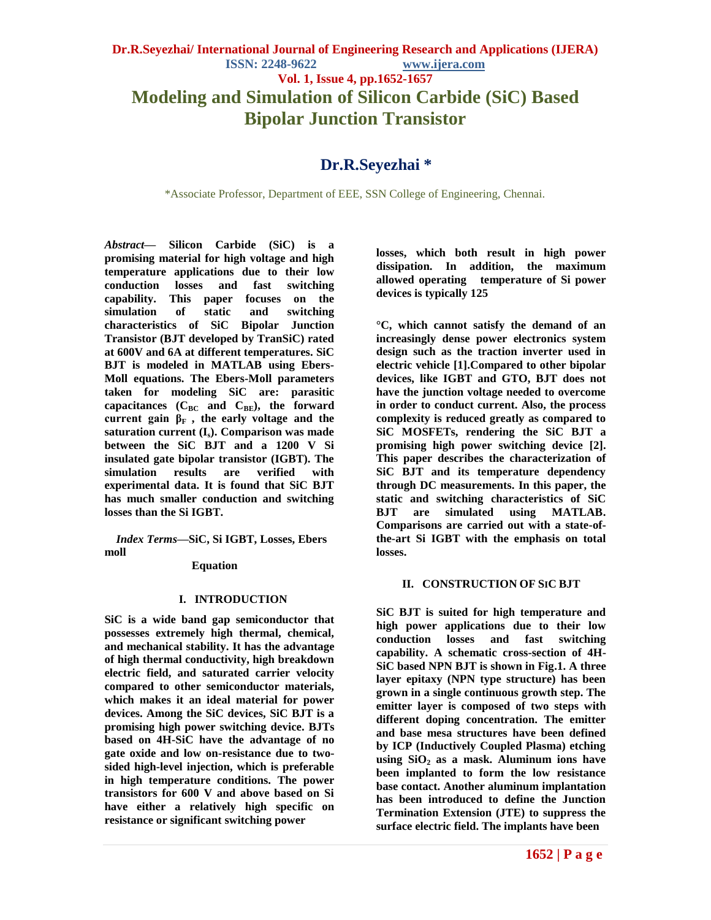**Bipolar Junction Transistor**

# **Dr.R.Seyezhai \***

\*Associate Professor, Department of EEE, SSN College of Engineering, Chennai.

*Abstract***— Silicon Carbide (SiC) is a promising material for high voltage and high temperature applications due to their low conduction losses and fast switching capability. This paper focuses on the simulation of static and switching characteristics of SiC Bipolar Junction Transistor (BJT developed by TranSiC) rated at 600V and 6A at different temperatures. SiC BJT is modeled in MATLAB using Ebers-Moll equations. The Ebers-Moll parameters taken for modeling SiC are: parasitic capacitances (CBC and CBE), the forward current gain**  $β$ **<sup>F</sup> , the early voltage and the saturation current (Is). Comparison was made between the SiC BJT and a 1200 V Si insulated gate bipolar transistor (IGBT). The simulation results are verified with experimental data. It is found that SiC BJT has much smaller conduction and switching losses than the Si IGBT.**

*Index Terms***—SiC, Si IGBT, Losses, Ebers moll** 

# **Equation**

# **I. INTRODUCTION**

**SiC is a wide band gap semiconductor that possesses extremely high thermal, chemical, and mechanical stability. It has the advantage of high thermal conductivity, high breakdown electric field, and saturated carrier velocity compared to other semiconductor materials, which makes it an ideal material for power devices. Among the SiC devices, SiC BJT is a promising high power switching device. BJTs based on 4H-SiC have the advantage of no gate oxide and low on-resistance due to twosided high-level injection, which is preferable in high temperature conditions. The power transistors for 600 V and above based on Si have either a relatively high specific on resistance or significant switching power** 

**losses, which both result in high power dissipation. In addition, the maximum allowed operating temperature of Si power devices is typically 125** 

**°C, which cannot satisfy the demand of an increasingly dense power electronics system design such as the traction inverter used in electric vehicle [1].Compared to other bipolar devices, like IGBT and GTO, BJT does not have the junction voltage needed to overcome in order to conduct current. Also, the process complexity is reduced greatly as compared to SiC MOSFETs, rendering the SiC BJT a promising high power switching device [2]. This paper describes the characterization of SiC BJT and its temperature dependency through DC measurements. In this paper, the static and switching characteristics of SiC BJT are simulated using MATLAB. Comparisons are carried out with a state-ofthe-art Si IGBT with the emphasis on total losses.** 

# **II. CONSTRUCTION OF SIC BJT**

**SiC BJT is suited for high temperature and high power applications due to their low conduction losses and fast switching capability. A schematic cross-section of 4H-SiC based NPN BJT is shown in Fig.1. A three layer epitaxy (NPN type structure) has been grown in a single continuous growth step. The emitter layer is composed of two steps with different doping concentration. The emitter and base mesa structures have been defined by ICP (Inductively Coupled Plasma) etching using SiO<sup>2</sup> as a mask. Aluminum ions have been implanted to form the low resistance base contact. Another aluminum implantation has been introduced to define the Junction Termination Extension (JTE) to suppress the surface electric field. The implants have been**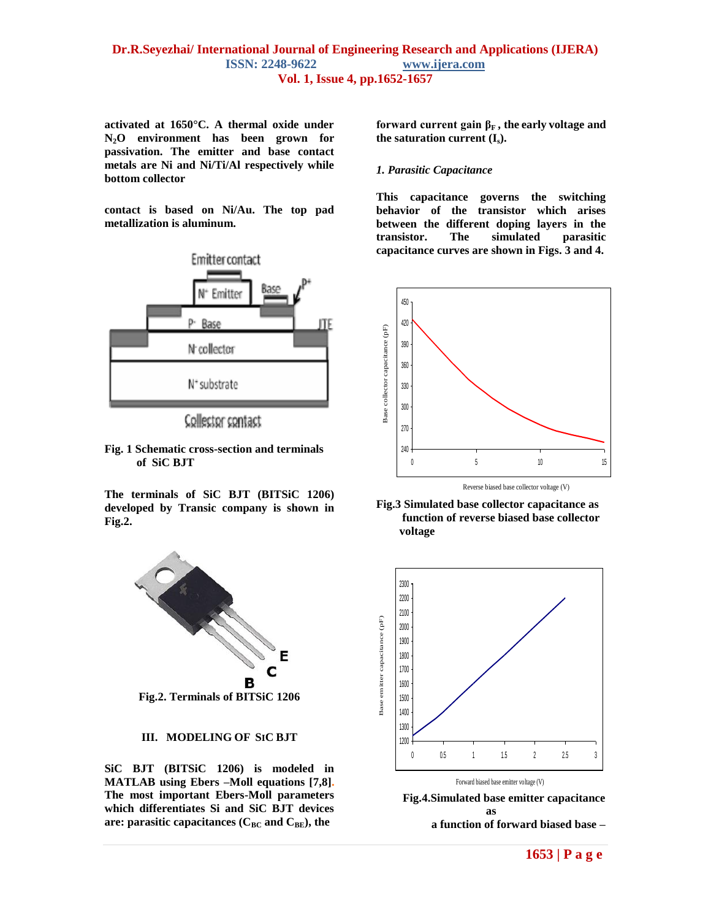# **Dr.R.Seyezhai/ International Journal of Engineering Research and Applications (IJERA) ISSN: 2248-9622 www.ijera.com Vol. 1, Issue 4, pp.1652-1657**

**activated at 1650°C. A thermal oxide under N2O environment has been grown for passivation. The emitter and base contact metals are Ni and Ni/Ti/Al respectively while bottom collector** 

**contact is based on Ni/Au. The top pad metallization is aluminum.**



Collector contact

**Fig. 1 Schematic cross-section and terminals of SiC BJT**

**The terminals of SiC BJT (BITSiC 1206) developed by Transic company is shown in Fig.2.**



## **III. MODELING OF SIC BJT**

**SiC BJT (BITSiC 1206) is modeled in MATLAB using Ebers –Moll equations [7,8]. The most important Ebers-Moll parameters which differentiates Si and SiC BJT devices are: parasitic capacitances (CBC and CBE), the** 

**forward current gain**  $\beta_F$ **, the early voltage and the saturation current (Is).**

## *1. Parasitic Capacitance*

**This capacitance governs the switching behavior of the transistor which arises between the different doping layers in the transistor. The simulated parasitic capacitance curves are shown in Figs. 3 and 4.**



**Fig.3 Simulated base collector capacitance as function of reverse biased base collector voltage**



 **Fig.4.Simulated base emitter capacitance as a function of forward biased base –**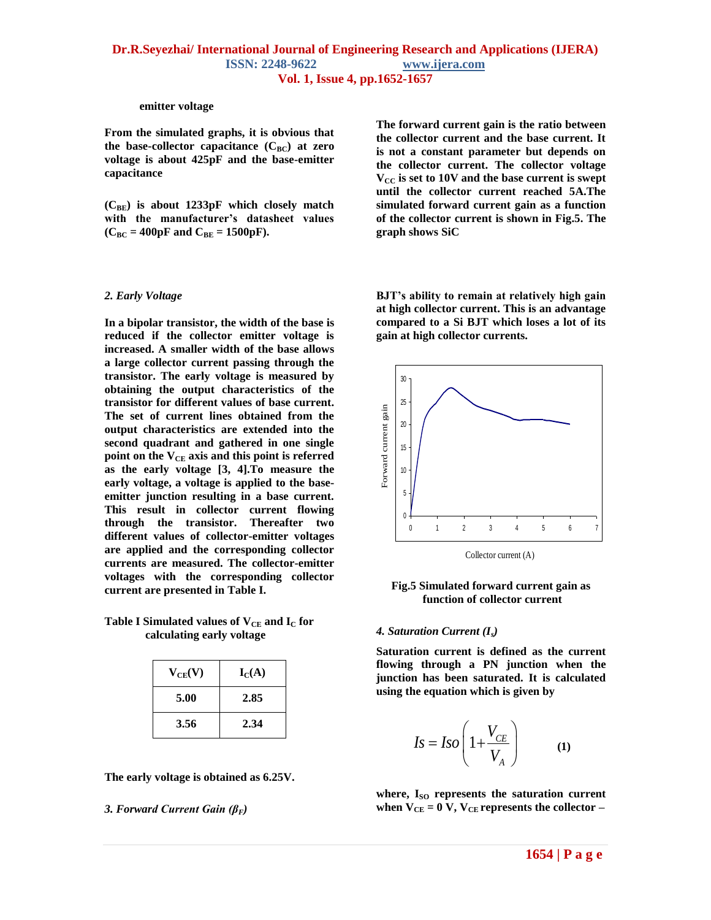#### **emitter voltage**

**From the simulated graphs, it is obvious that**  the base-collector capacitance  $(C_{BC})$  at zero **voltage is about 425pF and the base-emitter capacitance** 

**(CBE) is about 1233pF which closely match with the manufacturer's datasheet values**   $(C_{BC} = 400pF$  and  $C_{BE} = 1500pF$ .

#### *2. Early Voltage*

**In a bipolar transistor, the width of the base is reduced if the collector emitter voltage is increased. A smaller width of the base allows a large collector current passing through the transistor. The early voltage is measured by obtaining the output characteristics of the transistor for different values of base current. The set of current lines obtained from the output characteristics are extended into the second quadrant and gathered in one single point on the VCE axis and this point is referred as the early voltage [3, 4].To measure the early voltage, a voltage is applied to the baseemitter junction resulting in a base current. This result in collector current flowing through the transistor. Thereafter two different values of collector-emitter voltages are applied and the corresponding collector currents are measured. The collector-emitter voltages with the corresponding collector current are presented in Table I.**

## **Table I** Simulated values of  $V_{CE}$  and  $I_{C}$  for  **calculating early voltage**

| $V_{CE}(V)$ | $I_{C}(A)$ |
|-------------|------------|
| 5.00        | 2.85       |
| 3.56        | 2.34       |

**The early voltage is obtained as 6.25V.**

#### *3. Forward Current Gain (βF)*

**The forward current gain is the ratio between the collector current and the base current. It is not a constant parameter but depends on the collector current. The collector voltage VCC is set to 10V and the base current is swept until the collector current reached 5A.The simulated forward current gain as a function of the collector current is shown in Fig.5. The graph shows SiC** 

**BJT's ability to remain at relatively high gain at high collector current. This is an advantage compared to a Si BJT which loses a lot of its gain at high collector currents.**



**Fig.5 Simulated forward current gain as function of collector current**

#### *4. Saturation Current (Is)*

**Saturation current is defined as the current flowing through a PN junction when the junction has been saturated. It is calculated using the equation which is given by**

$$
Is = Iso\left(1 + \frac{V_{CE}}{V_A}\right) \tag{1}
$$

where, I<sub>SO</sub> represents the saturation current when  $V_{CE} = 0 V$ ,  $V_{CE}$  represents the collector –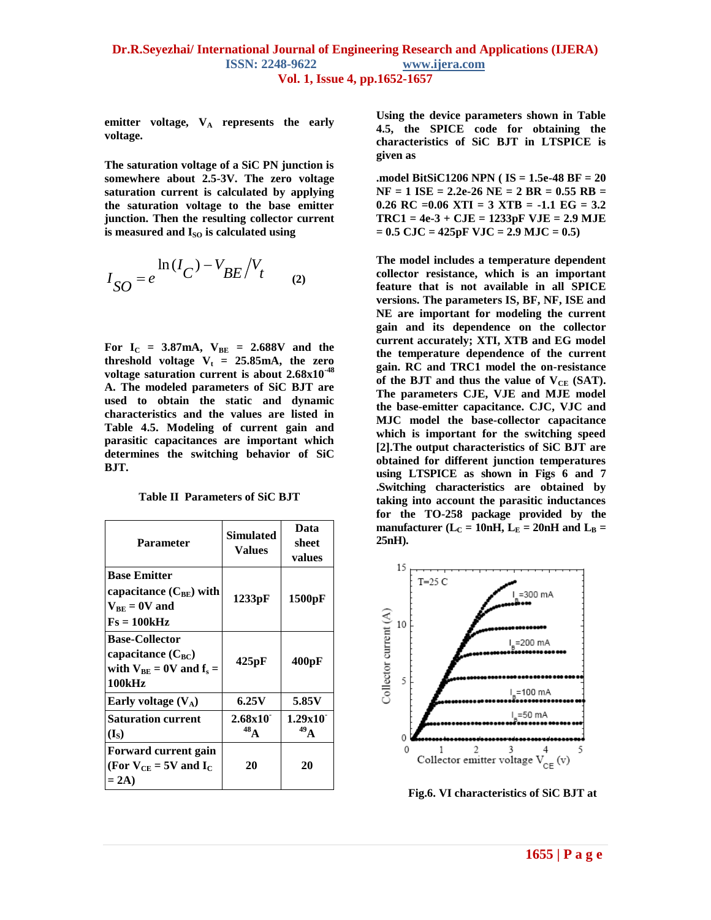emitter voltage,  $V_A$  represents the early **voltage.**

**The saturation voltage of a SiC PN junction is somewhere about 2.5-3V. The zero voltage saturation current is calculated by applying the saturation voltage to the base emitter junction. Then the resulting collector current is measured and I<sub>SO</sub> is calculated using** 

$$
I_{SO} = e^{\ln(I_C) - V_{BE}/V_t}
$$
 (2)

For  $I_C = 3.87 \text{ mA}$ ,  $V_{BE} = 2.688 \text{ V}$  and the **threshold** voltage  $V_t = 25.85 \text{ mA}$ , the zero **voltage saturation current is about 2.68x10-48 A. The modeled parameters of SiC BJT are used to obtain the static and dynamic characteristics and the values are listed in Table 4.5. Modeling of current gain and parasitic capacitances are important which determines the switching behavior of SiC BJT.** 

**Table II Parameters of SiC BJT**

| <b>Parameter</b>                                                                            | Simulated<br><b>Values</b> | Data<br>sheet<br>values    |
|---------------------------------------------------------------------------------------------|----------------------------|----------------------------|
| <b>Base Emitter</b><br>capacitance $(C_{BE})$ with<br>$V_{BE} = 0V$ and<br>$Fs = 100kHz$    | 1233pF                     | 1500pF                     |
| <b>Base-Collector</b><br>capacitance $(C_{BC})$<br>with $V_{BE} = 0V$ and $f_s =$<br>100kHz | 425pF                      | 400pF                      |
| Early voltage $(V_A)$                                                                       | 6.25V                      | 5.85V                      |
| <b>Saturation current</b><br>$(I_{\rm S})$                                                  | 2.68x10<br>$^{48}$ A       | 1.29x10<br>49 <sub>A</sub> |
| Forward current gain<br>(For $V_{CE} = 5V$ and $I_C$<br>$= 2A$                              | 20                         | 20                         |

**Using the device parameters shown in Table 4.5, the SPICE code for obtaining the characteristics of SiC BJT in LTSPICE is given as** 

**.model BitSiC1206 NPN ( IS = 1.5e-48 BF = 20 NF = 1 ISE = 2.2e-26 NE = 2 BR = 0.55 RB = 0.26 RC =0.06 XTI = 3 XTB = -1.1 EG = 3.2 TRC1 = 4e-3 + CJE = 1233pF VJE = 2.9 MJE = 0.5 CJC = 425pF VJC = 2.9 MJC = 0.5)**

**The model includes a temperature dependent collector resistance, which is an important feature that is not available in all SPICE versions. The parameters IS, BF, NF, ISE and NE are important for modeling the current gain and its dependence on the collector current accurately; XTI, XTB and EG model the temperature dependence of the current gain. RC and TRC1 model the on-resistance** of the BJT and thus the value of  $V_{CE}$  (SAT). **The parameters CJE, VJE and MJE model the base-emitter capacitance. CJC, VJC and MJC model the base-collector capacitance which is important for the switching speed [2].The output characteristics of SiC BJT are obtained for different junction temperatures using LTSPICE as shown in Figs 6 and 7 .Switching characteristics are obtained by taking into account the parasitic inductances for the TO-258 package provided by the manufacturer** ( $L<sub>C</sub> = 10$ nH,  $L<sub>E</sub> = 20$ nH and  $L<sub>B</sub> =$ **25nH).**



 **Fig.6. VI characteristics of SiC BJT at**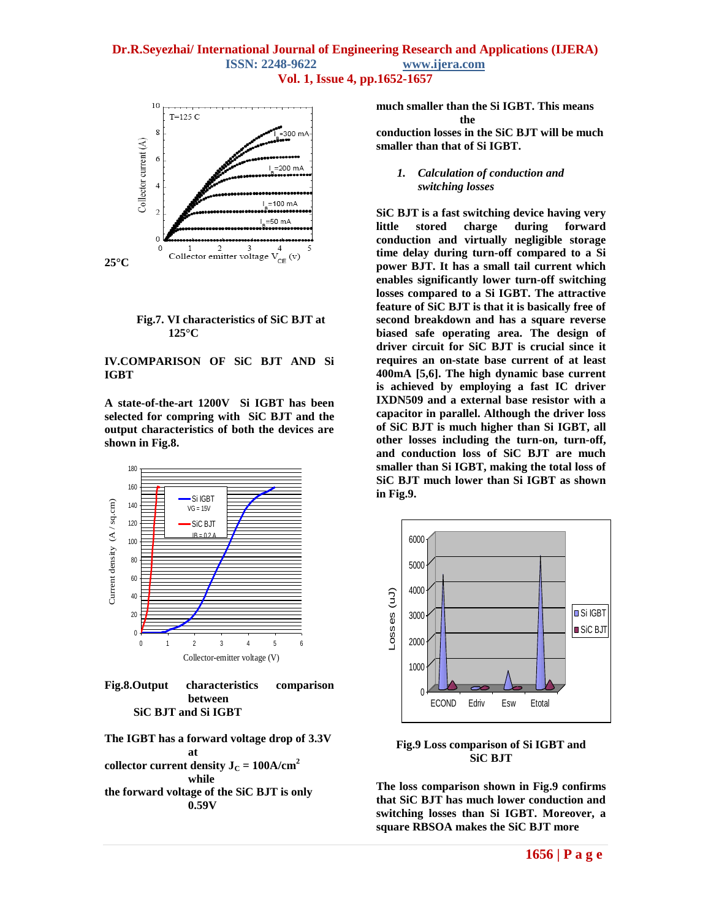# **Dr.R.Seyezhai/ International Journal of Engineering Research and Applications (IJERA) ISSN: 2248-9622 www.ijera.com Vol. 1, Issue 4, pp.1652-1657**





## **IV.COMPARISON OF SiC BJT AND Si IGBT**

**A state-of-the-art 1200V Si IGBT has been selected for compring with SiC BJT and the output characteristics of both the devices are shown in Fig.8.**





**The IGBT has a forward voltage drop of 3.3V at collector current density**  $J_C = 100A/cm^2$ **while the forward voltage of the SiC BJT is only 0.59V** 

**much smaller than the Si IGBT. This means the conduction losses in the SiC BJT will be much smaller than that of Si IGBT.**

## *1. Calculation of conduction and switching losses*

**SiC BJT is a fast switching device having very little stored charge during forward conduction and virtually negligible storage time delay during turn-off compared to a Si power BJT. It has a small tail current which enables significantly lower turn-off switching losses compared to a Si IGBT. The attractive feature of SiC BJT is that it is basically free of second breakdown and has a square reverse biased safe operating area. The design of driver circuit for SiC BJT is crucial since it requires an on-state base current of at least 400mA [5,6]. The high dynamic base current is achieved by employing a fast IC driver IXDN509 and a external base resistor with a capacitor in parallel. Although the driver loss of SiC BJT is much higher than Si IGBT, all other losses including the turn-on, turn-off, and conduction loss of SiC BJT are much smaller than Si IGBT, making the total loss of SiC BJT much lower than Si IGBT as shown in Fig.9.**



**Fig.9 Loss comparison of Si IGBT and SiC BJT**

**The loss comparison shown in Fig.9 confirms that SiC BJT has much lower conduction and switching losses than Si IGBT. Moreover, a square RBSOA makes the SiC BJT more**